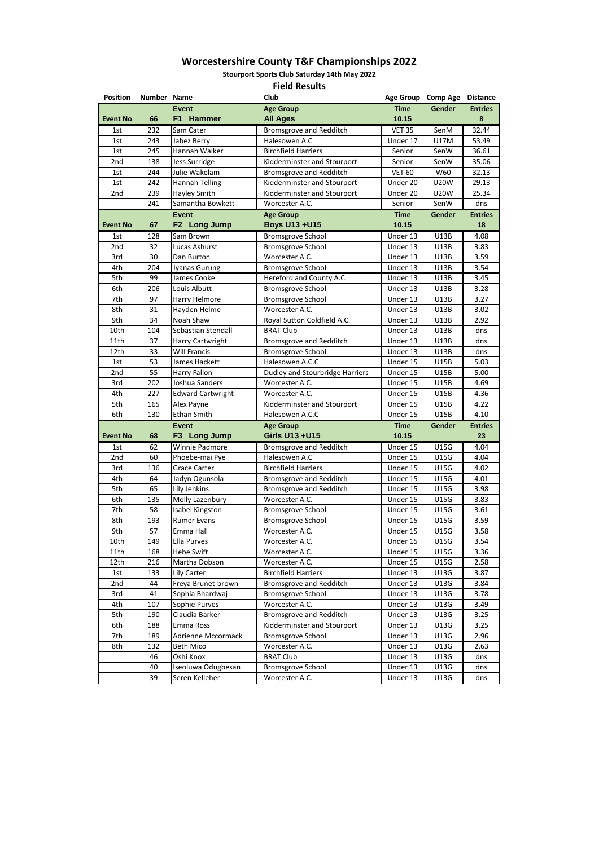| <b>Position</b> | Number Name |                                    | Club                                |               | Age Group Comp Age | <b>Distance</b> |
|-----------------|-------------|------------------------------------|-------------------------------------|---------------|--------------------|-----------------|
|                 |             | <b>Event</b>                       | <b>Age Group</b>                    | <b>Time</b>   | Gender             | <b>Entries</b>  |
| <b>Event No</b> | 66          | F1 Hammer                          | <b>All Ages</b>                     | 10.15         |                    | 8               |
| 1st             | 232         | Sam Cater                          | <b>Bromsgrove and Redditch</b>      | <b>VET 35</b> | SenM               | 32.44           |
| 1st             | 243         | Jabez Berry                        | Halesowen A.C                       | Under 17      | <b>U17M</b>        | 53.49           |
| 1st             | 245         | Hannah Walker                      | <b>Birchfield Harriers</b>          | Senior        | SenW               | 36.61           |
| 2nd             | 138         | <b>Jess Surridge</b>               | Kidderminster and Stourport         | Senior        | SenW               | 35.06           |
| 1st             | 244         | Julie Wakelam                      | <b>Bromsgrove and Redditch</b>      | <b>VET 60</b> | W60                | 32.13           |
| 1st             | 242         | <b>Hannah Telling</b>              | Kidderminster and Stourport         | Under 20      | <b>U20W</b>        | 29.13           |
| 2nd             | 239         | Hayley Smith                       | Kidderminster and Stourport         | Under 20      | <b>U20W</b>        | 25.34           |
|                 | 241         | Samantha Bowkett                   | Worcester A.C.                      | Senior        | SenW               | dns             |
|                 |             | <b>Event</b>                       | <b>Age Group</b>                    | <b>Time</b>   | Gender             | <b>Entries</b>  |
| <b>Event No</b> | 67          | F <sub>2</sub><br><b>Long Jump</b> | <b>Boys U13 +U15</b>                | 10.15         |                    | 18              |
| 1st             | 128         | Sam Brown                          | <b>Bromsgrove School</b>            | Under 13      | U13B               | 4.08            |
| 2nd             | 32          | Lucas Ashurst                      | <b>Bromsgrove School</b>            | Under 13      | <b>U13B</b>        | 3.83            |
| 3rd             | 30          | Dan Burton                         | Worcester A.C.                      | Under 13      | U13B               | 3.59            |
| 4th             | 204         | Jyanas Gurung                      | <b>Bromsgrove School</b>            | Under 13      | <b>U13B</b>        | 3.54            |
| 5th             | 99          | James Cooke                        | Hereford and County A.C.            | Under 13      | <b>U13B</b>        | 3.45            |
| 6th             | 206         | Louis Albutt                       | <b>Bromsgrove School</b>            | Under 13      | U13B               | 3.28            |
| 7th             | 97          | Harry Helmore                      | <b>Bromsgrove School</b>            | Under 13      | <b>U13B</b>        | 3.27            |
| 8th             | 31          | Hayden Helme                       | Worcester A.C.                      | Under 13      | <b>U13B</b>        | 3.02            |
| 9th             | 34          | Noah Shaw                          | Royal Sutton Coldfield A.C.         | Under 13      | <b>U13B</b>        | 2.92            |
| 10th            | 104         | Sebastian Stendall                 | <b>BRAT Club</b>                    | Under 13      | <b>U13B</b>        | dns             |
| 11th            | 37          | Harry Cartwright                   | <b>Bromsgrove and Redditch</b>      | Under 13      | U13B               | dns             |
| 12th            | 33          | <b>Will Francis</b>                | <b>Bromsgrove School</b>            | Under 13      | <b>U13B</b>        | dns             |
| 1st             | 53          | James Hackett                      | Halesowen A.C.C                     | Under 15      | <b>U15B</b>        | 5.03            |
| 2nd             | 55          | <b>Harry Fallon</b>                | Dudley and Stourbridge Harriers     | Under 15      | <b>U15B</b>        | 5.00            |
| 3rd             | 202         | Joshua Sanders                     | Worcester A.C.                      | Under 15      | <b>U15B</b>        | 4.69            |
| 4th             | 227         |                                    | Worcester A.C.                      | Under 15      | <b>U15B</b>        | 4.36            |
|                 |             | <b>Edward Cartwright</b>           |                                     |               | U15B               | 4.22            |
| 5th             | 165         | Alex Payne                         | Kidderminster and Stourport         | Under 15      |                    |                 |
| 6th             | 130         | Ethan Smith                        | Halesowen A.C.C                     | Under 15      | U15B               | 4.10            |
|                 |             | <b>Event</b>                       | <b>Age Group</b><br>Girls U13 + U15 | <b>Time</b>   | Gender             | <b>Entries</b>  |
| <b>Event No</b> | 68          | F3 Long Jump                       |                                     | 10.15         |                    | 23              |
| 1st             | 62          | Winnie Padmore                     | <b>Bromsgrove and Redditch</b>      | Under 15      | <b>U15G</b>        | 4.04            |
| 2nd             | 60          | Phoebe-mai Pye                     | Halesowen A.C                       | Under 15      | <b>U15G</b>        | 4.04            |
| 3rd             | 136         | <b>Grace Carter</b>                | <b>Birchfield Harriers</b>          | Under 15      | U15G               | 4.02            |
| 4th             | 64          | Jadyn Ogunsola                     | Bromsgrove and Redditch             | Under 15      | <b>U15G</b>        | 4.01            |
| 5th             | 65          | Lily Jenkins                       | <b>Bromsgrove and Redditch</b>      | Under 15      | <b>U15G</b>        | 3.98            |
| 6th             | 135         | Molly Lazenbury                    | Worcester A.C.                      | Under 15      | <b>U15G</b>        | 3.83            |
| 7th             | 58          | <b>Isabel Kingston</b>             | <b>Bromsgrove School</b>            | Under 15      | <b>U15G</b>        | 3.61            |
| 8th             | 193         | <b>Rumer Evans</b>                 | <b>Bromsgrove School</b>            | Under 15      | U15G               | 3.59            |
| 9th             | 57          | Emma Hall                          | Worcester A.C.                      | Under 15      | <b>U15G</b>        | 3.58            |
| 10th            | 149         | Ella Purves                        | Worcester A.C.                      | Under 15      | <b>U15G</b>        | 3.54            |
| 11th            | 168         | <b>Hebe Swift</b>                  | Worcester A.C.                      | Under 15      | <b>U15G</b>        | 3.36            |
| 12th            | 216         | Martha Dobson                      | Worcester A.C.                      | Under 15      | <b>U15G</b>        | 2.58            |
| 1st             | 133         | Lily Carter                        | <b>Birchfield Harriers</b>          | Under 13      | U13G               | 3.87            |
| 2nd             | 44          | Freya Brunet-brown                 | <b>Bromsgrove and Redditch</b>      | Under 13      | U13G               | 3.84            |
| 3rd             | 41          | Sophia Bhardwaj                    | <b>Bromsgrove School</b>            | Under 13      | U13G               | 3.78            |
| 4th             | 107         | Sophie Purves                      | Worcester A.C.                      | Under 13      | <b>U13G</b>        | 3.49            |
| 5th             | 190         | Claudia Barker                     | <b>Bromsgrove and Redditch</b>      | Under 13      | U13G               | 3.25            |
| 6th             | 188         | Emma Ross                          | Kidderminster and Stourport         | Under 13      | <b>U13G</b>        | 3.25            |
| 7th             | 189         | Adrienne Mccormack                 | <b>Bromsgrove School</b>            | Under 13      | U13G               | 2.96            |
| 8th             | 132         | <b>Beth Mico</b>                   | Worcester A.C.                      | Under 13      | U13G               | 2.63            |
|                 | 46          | Oshi Knox                          | <b>BRAT Club</b>                    | Under 13      | <b>U13G</b>        | dns             |
|                 | 40          | Iseoluwa Odugbesan                 | <b>Bromsgrove School</b>            | Under 13      | <b>U13G</b>        | dns             |
|                 | 39          | Seren Kelleher                     | Worcester A.C.                      | Under 13      | U13G               | dns             |

**Stourport Sports Club Saturday 14th May 2022**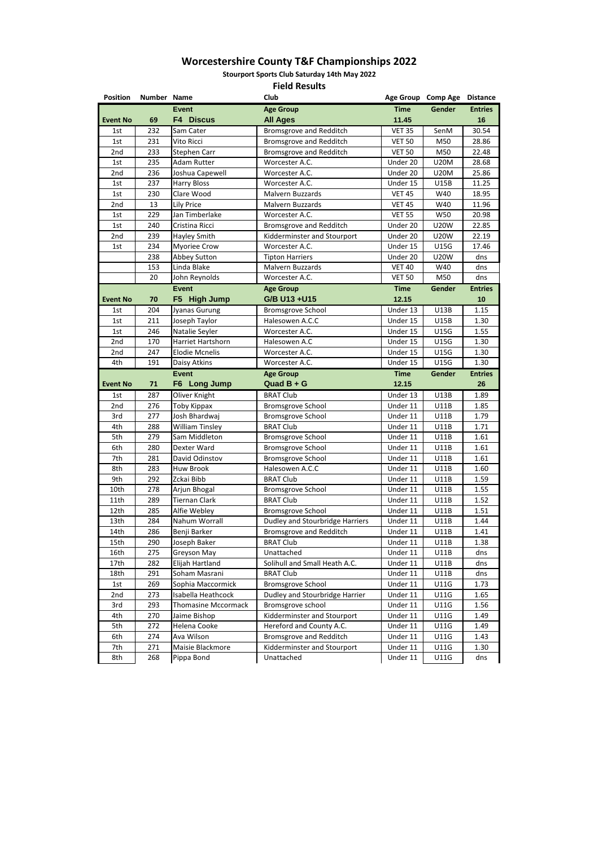**Stourport Sports Club Saturday 14th May 2022**

| <b>Position</b> | Number Name |                |                            | Club                            |               | Age Group Comp Age | <b>Distance</b> |
|-----------------|-------------|----------------|----------------------------|---------------------------------|---------------|--------------------|-----------------|
|                 |             | <b>Event</b>   |                            | <b>Age Group</b>                | <b>Time</b>   | <b>Gender</b>      | <b>Entries</b>  |
| <b>Event No</b> | 69          |                | <b>F4 Discus</b>           | <b>All Ages</b>                 | 11.45         |                    | 16              |
| 1st             | 232         |                | Sam Cater                  | <b>Bromsgrove and Redditch</b>  | <b>VET 35</b> | SenM               | 30.54           |
| 1st             | 231         |                | Vito Ricci                 | <b>Bromsgrove and Redditch</b>  | <b>VET 50</b> | M50                | 28.86           |
| 2nd             | 233         |                | <b>Stephen Carr</b>        | <b>Bromsgrove and Redditch</b>  | <b>VET 50</b> | M50                | 22.48           |
| 1st             | 235         |                | <b>Adam Rutter</b>         | Worcester A.C.                  | Under 20      | <b>U20M</b>        | 28.68           |
| 2nd             | 236         |                | Joshua Capewell            | Worcester A.C.                  | Under 20      | <b>U20M</b>        | 25.86           |
| 1st             | 237         |                | <b>Harry Bloss</b>         | Worcester A.C.                  | Under 15      | <b>U15B</b>        | 11.25           |
| 1st             | 230         |                | Clare Wood                 | Malvern Buzzards                | <b>VET 45</b> | W40                | 18.95           |
| 2nd             | 13          |                | <b>Lily Price</b>          | Malvern Buzzards                | <b>VET 45</b> | W40                | 11.96           |
| 1st             | 229         |                | Jan Timberlake             | Worcester A.C.                  | <b>VET 55</b> | W50                | 20.98           |
| 1st             | 240         |                | Cristina Ricci             | <b>Bromsgrove and Redditch</b>  | Under 20      | <b>U20W</b>        | 22.85           |
| 2nd             | 239         |                | Hayley Smith               | Kidderminster and Stourport     | Under 20      | <b>U20W</b>        | 22.19           |
| 1st             | 234         |                | <b>Myoriee Crow</b>        | Worcester A.C.                  | Under 15      | <b>U15G</b>        | 17.46           |
|                 | 238         |                | <b>Abbey Sutton</b>        | <b>Tipton Harriers</b>          | Under 20      | <b>U20W</b>        | dns             |
|                 | 153         |                | Linda Blake                | <b>Malvern Buzzards</b>         | <b>VET 40</b> | W40                | dns             |
|                 | 20          |                | John Reynolds              | Worcester A.C.                  | <b>VET 50</b> | M50                | dns             |
|                 |             | <b>Event</b>   |                            | <b>Age Group</b>                | <b>Time</b>   | Gender             | <b>Entries</b>  |
| <b>Event No</b> | 70          | F <sub>5</sub> | <b>High Jump</b>           | G/B U13 + U15                   | 12.15         |                    | 10              |
| 1st             | 204         |                | Jyanas Gurung              | <b>Bromsgrove School</b>        | Under 13      | <b>U13B</b>        | 1.15            |
| 1st             | 211         |                | Joseph Taylor              | Halesowen A.C.C                 | Under 15      | <b>U15B</b>        | 1.30            |
| 1st             | 246         |                | Natalie Seyler             | Worcester A.C.                  | Under 15      | <b>U15G</b>        | 1.55            |
| 2nd             | 170         |                | <b>Harriet Hartshorn</b>   | Halesowen A.C                   | Under 15      | <b>U15G</b>        | 1.30            |
| 2nd             | 247         |                | <b>Elodie Mcnelis</b>      | Worcester A.C.                  | Under 15      | U15G               | 1.30            |
| 4th             | 191         |                | Daisy Atkins               | Worcester A.C.                  | Under 15      | <b>U15G</b>        | 1.30            |
|                 |             | <b>Event</b>   |                            | <b>Age Group</b>                | <b>Time</b>   | <b>Gender</b>      | <b>Entries</b>  |
| <b>Event No</b> | 71          |                | F6 Long Jump               | Quad $B + G$                    | 12.15         |                    | 26              |
| 1st             | 287         |                | Oliver Knight              | <b>BRAT Club</b>                | Under 13      | U13B               | 1.89            |
| 2nd             | 276         |                | <b>Toby Kippax</b>         | <b>Bromsgrove School</b>        | Under 11      | <b>U11B</b>        | 1.85            |
| 3rd             | 277         |                | Josh Bhardwaj              | <b>Bromsgrove School</b>        | Under 11      | U11B               | 1.79            |
| 4th             | 288         |                | <b>William Tinsley</b>     | <b>BRAT Club</b>                | Under 11      | <b>U11B</b>        | 1.71            |
| 5th             | 279         |                | Sam Middleton              | <b>Bromsgrove School</b>        | Under 11      | <b>U11B</b>        | 1.61            |
| 6th             | 280         |                | Dexter Ward                | <b>Bromsgrove School</b>        | Under 11      | U11B               | 1.61            |
| 7th             | 281         |                | David Odinstov             | <b>Bromsgrove School</b>        | Under 11      | U11B               | 1.61            |
| 8th             | 283         |                | Huw Brook                  | Halesowen A.C.C                 | Under 11      | U11B               | 1.60            |
| 9th             | 292         |                | Zckai Bibb                 | <b>BRAT Club</b>                | Under 11      | U11B               | 1.59            |
| 10th            | 278         |                | Arjun Bhogal               | <b>Bromsgrove School</b>        | Under 11      | U11B               | 1.55            |
| 11th            | 289         |                | <b>Tiernan Clark</b>       | <b>BRAT Club</b>                | Under 11      | U11B               | 1.52            |
| 12th            | 285         |                | Alfie Webley               | <b>Bromsgrove School</b>        | Under 11      | U11B               | 1.51            |
| 13th            | 284         |                | Nahum Worrall              | Dudley and Stourbridge Harriers | Under 11      | U11B               | 1.44            |
| 14th            | 286         |                | Benji Barker               | <b>Bromsgrove and Redditch</b>  | Under 11      | U11B               | 1.41            |
| 15th            | 290         |                | Joseph Baker               | <b>BRAT Club</b>                | Under 11      | <b>U11B</b>        | 1.38            |
| 16th            | 275         |                | Greyson May                | Unattached                      | Under 11      | <b>U11B</b>        | dns             |
| 17th            | 282         |                | Elijah Hartland            | Solihull and Small Heath A.C.   | Under 11      | <b>U11B</b>        | dns             |
| 18th            | 291         |                | Soham Masrani              | <b>BRAT Club</b>                | Under 11      | U11B               | dns             |
| 1st             | 269         |                | Sophia Maccormick          | <b>Bromsgrove School</b>        | Under 11      | <b>U11G</b>        | 1.73            |
|                 |             |                | Isabella Heathcock         |                                 |               |                    |                 |
| 2nd             | 273         |                |                            | Dudley and Stourbridge Harrier  | Under 11      | <b>U11G</b>        | 1.65            |
| 3rd             | 293         |                | <b>Thomasine Mccormack</b> | Bromsgrove school               | Under 11      | U11G               | 1.56            |
| 4th             | 270         |                | Jaime Bishop               | Kidderminster and Stourport     | Under 11      | <b>U11G</b>        | 1.49            |
| 5th             | 272         |                | Helena Cooke               | Hereford and County A.C.        | Under 11      | <b>U11G</b>        | 1.49            |
| 6th             | 274         |                | Ava Wilson                 | <b>Bromsgrove and Redditch</b>  | Under 11      | <b>U11G</b>        | 1.43            |
| 7th             | 271         |                | Maisie Blackmore           | Kidderminster and Stourport     | Under 11      | U11G               | 1.30            |

| 8th | 268 | Pippa<br>Bond | Unattached | . .<br><b>Jnder</b><br>-- | <b>U11G</b> | dns |
|-----|-----|---------------|------------|---------------------------|-------------|-----|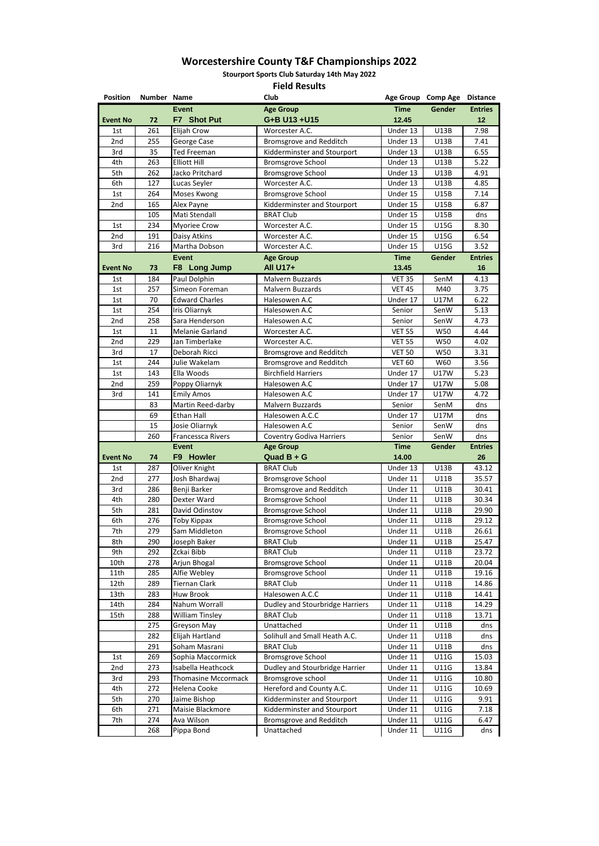**Stourport Sports Club Saturday 14th May 2022**

| <b>Position</b> | Number Name |                                | <b>Club</b>                                                   |                      | Age Group Comp Age         | <b>Distance</b> |
|-----------------|-------------|--------------------------------|---------------------------------------------------------------|----------------------|----------------------------|-----------------|
|                 |             | <b>Event</b>                   | <b>Age Group</b>                                              | <b>Time</b>          | Gender                     | <b>Entries</b>  |
| <b>Event No</b> | 72          | F7 Shot Put                    | G+B U13 +U15                                                  | 12.45                |                            | 12              |
| 1st             | 261         | Elijah Crow                    | Worcester A.C.                                                | Under 13             | U13B                       | 7.98            |
| 2nd             | 255         | George Case                    | <b>Bromsgrove and Redditch</b>                                | Under 13             | <b>U13B</b>                | 7.41            |
| 3rd             | 35          | <b>Ted Freeman</b>             | Kidderminster and Stourport                                   | Under 13             | U13B                       | 6.55            |
| 4th             | 263         | <b>Elliott Hill</b>            | <b>Bromsgrove School</b>                                      | Under 13             | <b>U13B</b>                | 5.22            |
| 5th             | 262         | Jacko Pritchard                | <b>Bromsgrove School</b>                                      | Under 13             | <b>U13B</b>                | 4.91            |
| 6th             | 127         | Lucas Seyler                   | Worcester A.C.                                                | Under 13             | <b>U13B</b>                | 4.85            |
| 1st             | 264         | Moses Kwong                    | <b>Bromsgrove School</b>                                      | Under 15             | <b>U15B</b>                | 7.14            |
| 2nd             | 165         | Alex Payne                     | Kidderminster and Stourport                                   | Under 15             | <b>U15B</b>                | 6.87            |
|                 | 105         | Mati Stendall                  | <b>BRAT Club</b>                                              | Under 15             | U15B                       | dns             |
| 1st             | 234         | <b>Myoriee Crow</b>            | Worcester A.C.                                                | Under 15             | <b>U15G</b>                | 8.30            |
| 2nd             | 191         | Daisy Atkins                   | Worcester A.C.                                                | Under 15             | <b>U15G</b>                | 6.54            |
| 3rd             | 216         | Martha Dobson                  | Worcester A.C.                                                | Under 15             | <b>U15G</b>                | 3.52            |
|                 |             | <b>Event</b>                   | <b>Age Group</b>                                              | <b>Time</b>          | Gender                     | <b>Entries</b>  |
| <b>Event No</b> | 73          | F8 Long Jump                   | <b>All U17+</b>                                               | 13.45                |                            | 16              |
| 1st             | 184         | Paul Dolphin                   | Malvern Buzzards                                              | <b>VET 35</b>        | SenM                       | 4.13            |
| 1st             | 257         | Simeon Foreman                 | Malvern Buzzards                                              | <b>VET 45</b>        | M40                        | 3.75            |
| 1st             | 70          | <b>Edward Charles</b>          | Halesowen A.C                                                 | Under 17             | <b>U17M</b>                | 6.22            |
| 1st             | 254         | Iris Oliarnyk                  | Halesowen A.C                                                 | Senior               | SenW                       | 5.13            |
| 2nd             | 258         | Sara Henderson                 | Halesowen A.C                                                 | Senior               | SenW                       | 4.73            |
| 1st             | 11          | <b>Melanie Garland</b>         | Worcester A.C.                                                | <b>VET 55</b>        | W50                        | 4.44            |
| 2nd             | 229         | Jan Timberlake                 | Worcester A.C.                                                | <b>VET 55</b>        | W50                        | 4.02            |
| 3rd             | 17          | Deborah Ricci                  | <b>Bromsgrove and Redditch</b>                                | <b>VET 50</b>        | <b>W50</b>                 | 3.31            |
| 1st             | 244         | Julie Wakelam                  | <b>Bromsgrove and Redditch</b>                                | <b>VET 60</b>        | W60                        | 3.56            |
| 1st             | 143         | Ella Woods                     | <b>Birchfield Harriers</b>                                    | Under 17             | <b>U17W</b>                | 5.23            |
| 2nd             | 259         | Poppy Oliarnyk                 | Halesowen A.C                                                 | Under 17             | <b>U17W</b>                | 5.08            |
| 3rd             | 141         | <b>Emily Amos</b>              | Halesowen A.C                                                 | Under 17             | <b>U17W</b>                | 4.72            |
|                 | 83          | Martin Reed-darby              | Malvern Buzzards                                              | Senior               | SenM                       | dns             |
|                 | 69          | Ethan Hall                     | Halesowen A.C.C                                               | Under 17             | <b>U17M</b>                | dns             |
|                 | 15          | Josie Oliarnyk                 | Halesowen A.C                                                 | Senior               | SenW                       | dns             |
|                 | 260         | <b>Francessca Rivers</b>       | <b>Coventry Godiva Harriers</b>                               | Senior               | SenW                       | dns             |
|                 |             | <b>Event</b>                   | <b>Age Group</b>                                              | <b>Time</b>          | <b>Gender</b>              | <b>Entries</b>  |
| <b>Event No</b> | 74          | F9 Howler                      | Quad $B + G$                                                  | 14.00                |                            | 26              |
|                 |             |                                |                                                               |                      |                            |                 |
| 1st             | 287         | Oliver Knight                  | <b>BRAT Club</b>                                              | Under 13             | U13B                       | 43.12           |
| 2nd             | 277         | Josh Bhardwaj                  | <b>Bromsgrove School</b>                                      | Under 11             | U11B                       | 35.57           |
| 3rd             | 286         | Benji Barker                   | <b>Bromsgrove and Redditch</b>                                | Under 11             | <b>U11B</b>                | 30.41           |
| 4th             | 280         | Dexter Ward                    | <b>Bromsgrove School</b>                                      | Under 11             | U11B                       | 30.34           |
| 5th             | 281         | David Odinstov                 | <b>Bromsgrove School</b>                                      | Under 11             | U11B                       | 29.90           |
| 6th             | 276         | Toby Kippax                    | <b>Bromsgrove School</b>                                      | Under 11             | <b>U11B</b>                | 29.12           |
| 7th             | 279         | Sam Middleton                  | <b>Bromsgrove School</b>                                      | Under 11             | U11B                       | 26.61           |
| 8th             | 290         | Joseph Baker                   | <b>BRAT Club</b>                                              | Under 11             | U11B                       | 25.47           |
| 9th             | 292         | Zckai Bibb                     | <b>BRAT Club</b>                                              | Under 11             | U11B                       | 23.72           |
| 10th            | 278         | Arjun Bhogal                   | <b>Bromsgrove School</b>                                      | Under 11             | <b>U11B</b>                | 20.04           |
| 11th            | 285         | Alfie Webley                   | <b>Bromsgrove School</b>                                      | Under 11             | U11B                       | 19.16           |
| 12th            | 289         | <b>Tiernan Clark</b>           | <b>BRAT Club</b>                                              | Under 11             | U11B                       | 14.86           |
| 13th            | 283         | <b>Huw Brook</b>               | Halesowen A.C.C                                               | Under 11             | <b>U11B</b>                | 14.41           |
| 14th            | 284         | Nahum Worrall                  | <b>Dudley and Stourbridge Harriers</b>                        | Under 11             | U11B                       | 14.29           |
| 15th            | 288         | <b>William Tinsley</b>         | <b>BRAT Club</b>                                              | Under 11             | <b>U11B</b>                | 13.71           |
|                 | 275         | Greyson May                    | Unattached                                                    | Under 11             | U11B                       | dns             |
|                 | 282         | Elijah Hartland                | Solihull and Small Heath A.C.                                 | Under 11             | U11B                       | dns             |
|                 | 291         | Soham Masrani                  | <b>BRAT Club</b>                                              | Under 11             | <b>U11B</b>                | dns             |
| 1st             | 269         | Sophia Maccormick              | <b>Bromsgrove School</b>                                      | Under 11             | <b>U11G</b>                | 15.03           |
| 2nd             | 273         | Isabella Heathcock             | Dudley and Stourbridge Harrier                                | Under 11             | <b>U11G</b>                | 13.84           |
| 3rd             | 293         | <b>Thomasine Mccormack</b>     | Bromsgrove school                                             | Under 11             | U11G                       | 10.80           |
| 4th             | 272         | Helena Cooke                   | Hereford and County A.C.                                      | Under 11             | <b>U11G</b>                | 10.69           |
| 5th             | 270         | Jaime Bishop                   | Kidderminster and Stourport                                   | Under 11             | <b>U11G</b>                | 9.91            |
| 6th<br>7th      | 271<br>274  | Maisie Blackmore<br>Ava Wilson | Kidderminster and Stourport<br><b>Bromsgrove and Redditch</b> | Under 11<br>Under 11 | <b>U11G</b><br><b>U11G</b> | 7.18<br>6.47    |